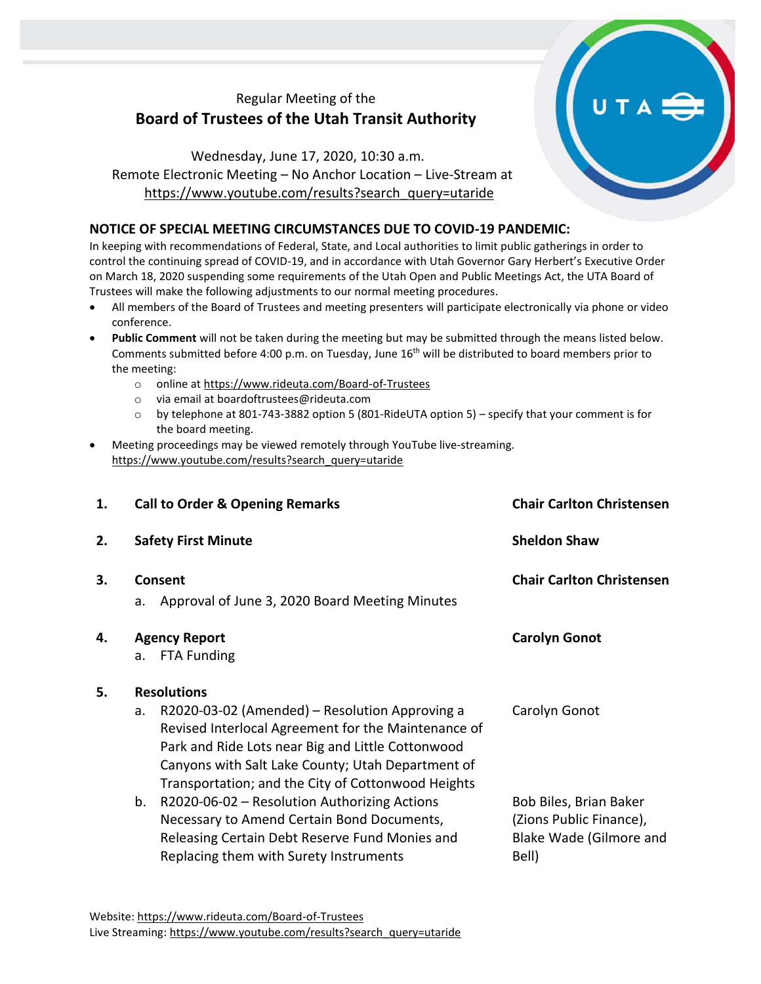## Regular Meeting of the **Board of Trustees of the Utah Transit Authority**

Wednesday, June 17, 2020, 10:30 a.m. Remote Electronic Meeting – No Anchor Location – Live-Stream at [https://www.youtube.com/results?search\\_query=utaride](https://www.youtube.com/results?search_query=utaride)

## **NOTICE OF SPECIAL MEETING CIRCUMSTANCES DUE TO COVID-19 PANDEMIC:**

In keeping with recommendations of Federal, State, and Local authorities to limit public gatherings in order to control the continuing spread of COVID-19, and in accordance with Utah Governor Gary Herbert's Executive Order on March 18, 2020 suspending some requirements of the Utah Open and Public Meetings Act, the UTA Board of Trustees will make the following adjustments to our normal meeting procedures.

- All members of the Board of Trustees and meeting presenters will participate electronically via phone or video conference.
- **Public Comment** will not be taken during the meeting but may be submitted through the means listed below. Comments submitted before 4:00 p.m. on Tuesday, June 16<sup>th</sup> will be distributed to board members prior to the meeting:
	- o online at<https://www.rideuta.com/Board-of-Trustees>
	- o via email at [boardoftrustees@rideuta.com](mailto:boardoftrustees@rideuta.com)
	- o by telephone at 801-743-3882 option 5 (801-RideUTA option 5) specify that your comment is for the board meeting.
- Meeting proceedings may be viewed remotely through YouTube live-streaming. [https://www.youtube.com/results?search\\_query=utaride](https://www.youtube.com/results?search_query=utaride)

| 1. | <b>Call to Order &amp; Opening Remarks</b>                      |                                                                                                                                                                                                                                                                       | <b>Chair Carlton Christensen</b>                                                      |  |
|----|-----------------------------------------------------------------|-----------------------------------------------------------------------------------------------------------------------------------------------------------------------------------------------------------------------------------------------------------------------|---------------------------------------------------------------------------------------|--|
| 2. | <b>Safety First Minute</b>                                      |                                                                                                                                                                                                                                                                       | <b>Sheldon Shaw</b>                                                                   |  |
| 3. | Consent<br>Approval of June 3, 2020 Board Meeting Minutes<br>a. |                                                                                                                                                                                                                                                                       | <b>Chair Carlton Christensen</b>                                                      |  |
| 4. |                                                                 | <b>Agency Report</b>                                                                                                                                                                                                                                                  | <b>Carolyn Gonot</b>                                                                  |  |
|    | a.                                                              | <b>FTA Funding</b>                                                                                                                                                                                                                                                    |                                                                                       |  |
| 5. |                                                                 | <b>Resolutions</b>                                                                                                                                                                                                                                                    |                                                                                       |  |
|    | a.                                                              | R2020-03-02 (Amended) – Resolution Approving a<br>Revised Interlocal Agreement for the Maintenance of<br>Park and Ride Lots near Big and Little Cottonwood<br>Canyons with Salt Lake County; Utah Department of<br>Transportation; and the City of Cottonwood Heights | Carolyn Gonot                                                                         |  |
|    | b.                                                              | R2020-06-02 - Resolution Authorizing Actions<br>Necessary to Amend Certain Bond Documents,<br>Releasing Certain Debt Reserve Fund Monies and<br>Replacing them with Surety Instruments                                                                                | Bob Biles, Brian Baker<br>(Zions Public Finance),<br>Blake Wade (Gilmore and<br>Bell) |  |